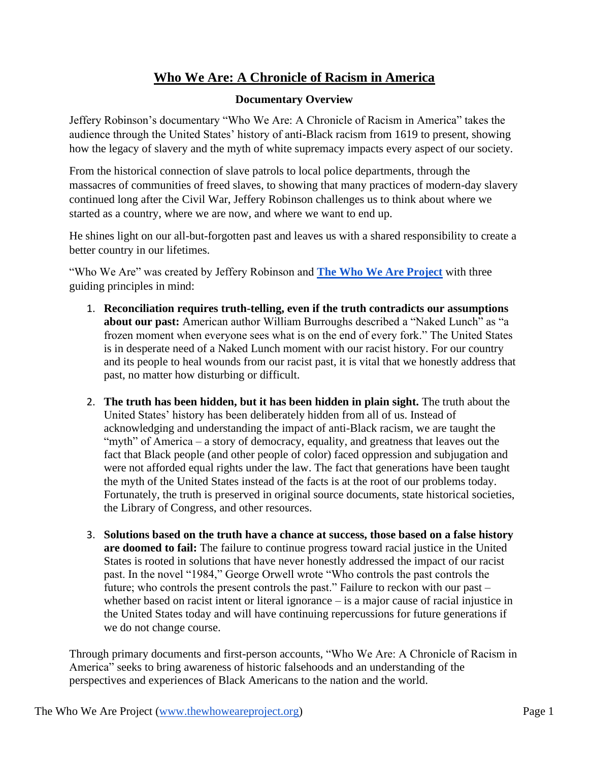## **Who We Are: A Chronicle of Racism in America**

## **Documentary Overview**

Jeffery Robinson's documentary "Who We Are: A Chronicle of Racism in America" takes the audience through the United States' history of anti-Black racism from 1619 to present, showing how the legacy of slavery and the myth of white supremacy impacts every aspect of our society.

From the historical connection of slave patrols to local police departments, through the massacres of communities of freed slaves, to showing that many practices of modern-day slavery continued long after the Civil War, Jeffery Robinson challenges us to think about where we started as a country, where we are now, and where we want to end up.

He shines light on our all-but-forgotten past and leaves us with a shared responsibility to create a better country in our lifetimes.

"Who We Are" was created by Jeffery Robinson and **[The Who We Are Project](https://thewhoweareproject.org/)** with three guiding principles in mind:

- 1. **Reconciliation requires truth-telling, even if the truth contradicts our assumptions about our past:** American author William Burroughs described a "Naked Lunch" as "a frozen moment when everyone sees what is on the end of every fork." The United States is in desperate need of a Naked Lunch moment with our racist history. For our country and its people to heal wounds from our racist past, it is vital that we honestly address that past, no matter how disturbing or difficult.
- 2. **The truth has been hidden, but it has been hidden in plain sight.** The truth about the United States' history has been deliberately hidden from all of us. Instead of acknowledging and understanding the impact of anti-Black racism, we are taught the "myth" of America – a story of democracy, equality, and greatness that leaves out the fact that Black people (and other people of color) faced oppression and subjugation and were not afforded equal rights under the law. The fact that generations have been taught the myth of the United States instead of the facts is at the root of our problems today. Fortunately, the truth is preserved in original source documents, state historical societies, the Library of Congress, and other resources.
- 3. **Solutions based on the truth have a chance at success, those based on a false history are doomed to fail:** The failure to continue progress toward racial justice in the United States is rooted in solutions that have never honestly addressed the impact of our racist past. In the novel "1984," George Orwell wrote "Who controls the past controls the future; who controls the present controls the past." Failure to reckon with our past – whether based on racist intent or literal ignorance – is a major cause of racial injustice in the United States today and will have continuing repercussions for future generations if we do not change course.

Through primary documents and first-person accounts, "Who We Are: A Chronicle of Racism in America" seeks to bring awareness of historic falsehoods and an understanding of the perspectives and experiences of Black Americans to the nation and the world.